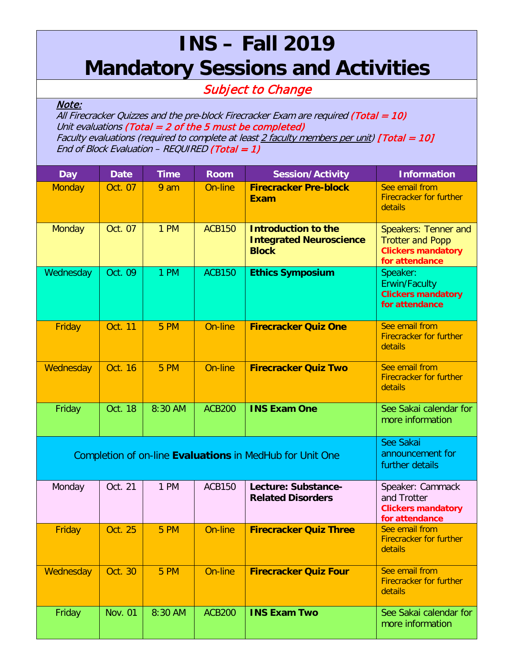## **INS – Fall 2019 Mandatory Sessions and Activities**

## Subject to Change

## Note:

All Firecracker Quizzes and the pre-block Firecracker Exam are required (Total = 10) Unit evaluations (Total  $= 2$  of the 5 must be completed) Faculty evaluations (required to complete at least  $2$  faculty members per unit) [Total = 10] End of Block Evaluation – REQUIRED (Total = 1)

| <b>Day</b>                                               | <b>Date</b>    | <b>Time</b> | <b>Room</b>   | <b>Session/Activity</b>                                                      | <b>Information</b>                                                                             |
|----------------------------------------------------------|----------------|-------------|---------------|------------------------------------------------------------------------------|------------------------------------------------------------------------------------------------|
| <b>Monday</b>                                            | Oct. 07        | 9 am        | On-line       | <b>Firecracker Pre-block</b><br><b>Exam</b>                                  | See email from<br><b>Firecracker for further</b><br>details                                    |
| <b>Monday</b>                                            | Oct. 07        | 1 PM        | <b>ACB150</b> | <b>Introduction to the</b><br><b>Integrated Neuroscience</b><br><b>Block</b> | Speakers: Tenner and<br><b>Trotter and Popp</b><br><b>Clickers mandatory</b><br>for attendance |
| Wednesday                                                | Oct. 09        | 1 PM        | <b>ACB150</b> | <b>Ethics Symposium</b>                                                      | Speaker:<br>Erwin/Faculty<br><b>Clickers mandatory</b><br>for attendance                       |
| Friday                                                   | <b>Oct. 11</b> | 5 PM        | On-line       | <b>Firecracker Quiz One</b>                                                  | See email from<br><b>Firecracker for further</b><br>details                                    |
| Wednesday                                                | Oct. 16        | 5 PM        | On-line       | <b>Firecracker Quiz Two</b>                                                  | See email from<br><b>Firecracker for further</b><br>details                                    |
| Friday                                                   | Oct. 18        | 8:30 AM     | <b>ACB200</b> | <b>INS Exam One</b>                                                          | See Sakai calendar for<br>more information                                                     |
| Completion of on-line Evaluations in MedHub for Unit One |                |             |               |                                                                              | See Sakai<br>announcement for<br>further details                                               |
| Monday                                                   | Oct. 21        | 1 PM        | <b>ACB150</b> | Lecture: Substance-<br><b>Related Disorders</b>                              | Speaker: Cammack<br>and Trotter<br><b>Clickers mandatory</b><br>for attendance                 |
| Friday                                                   | Oct. 25        | 5 PM        | On-line       | <b>Firecracker Quiz Three</b>                                                | See email from<br><b>Firecracker for further</b><br>details                                    |
| Wednesday                                                | Oct. 30        | 5 PM        | On-line       | <b>Firecracker Quiz Four</b>                                                 | See email from<br><b>Firecracker for further</b><br>details                                    |
| Friday                                                   | <b>Nov. 01</b> | 8:30 AM     | <b>ACB200</b> | <b>INS Exam Two</b>                                                          | See Sakai calendar for<br>more information                                                     |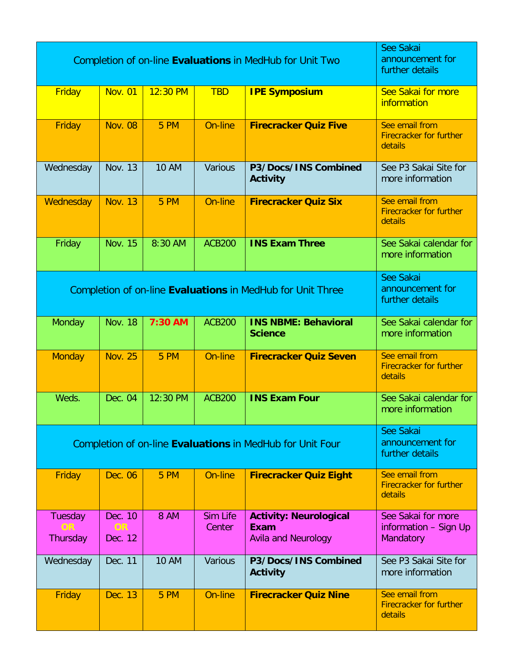| Completion of on-line Evaluations in MedHub for Unit Two   |                          |              |                           |                                                                     | See Sakai<br>announcement for<br>further details            |
|------------------------------------------------------------|--------------------------|--------------|---------------------------|---------------------------------------------------------------------|-------------------------------------------------------------|
| Friday                                                     | <b>Nov. 01</b>           | $12:30$ PM   | <b>TBD</b>                | <b>IPE Symposium</b>                                                | See Sakai for more<br>information                           |
| Friday                                                     | <b>Nov. 08</b>           | 5 PM         | On-line                   | <b>Firecracker Quiz Five</b>                                        | See email from<br><b>Firecracker for further</b><br>details |
| Wednesday                                                  | <b>Nov. 13</b>           | <b>10 AM</b> | <b>Various</b>            | P3/Docs/INS Combined<br><b>Activity</b>                             | See P3 Sakai Site for<br>more information                   |
| Wednesday                                                  | <b>Nov. 13</b>           | 5 PM         | On-line                   | <b>Firecracker Quiz Six</b>                                         | See email from<br><b>Firecracker for further</b><br>details |
| Friday                                                     | <b>Nov. 15</b>           | 8:30 AM      | <b>ACB200</b>             | <b>INS Exam Three</b>                                               | See Sakai calendar for<br>more information                  |
| Completion of on-line Evaluations in MedHub for Unit Three |                          |              |                           |                                                                     | See Sakai<br>announcement for<br>further details            |
| Monday                                                     | <b>Nov. 18</b>           | 7:30 AM      | <b>ACB200</b>             | <b>INS NBME: Behavioral</b><br><b>Science</b>                       | See Sakai calendar for<br>more information                  |
| <b>Monday</b>                                              | <b>Nov. 25</b>           | 5 PM         | On-line                   | <b>Firecracker Quiz Seven</b>                                       | See email from<br><b>Firecracker for further</b><br>details |
| Weds.                                                      | Dec. 04                  | 12:30 PM     | <b>ACB200</b>             | <b>INS Exam Four</b>                                                | See Sakai calendar for<br>more information                  |
| Completion of on-line Evaluations in MedHub for Unit Four  |                          |              |                           |                                                                     | See Sakai<br>announcement for<br>further details            |
| Friday                                                     | Dec. 06                  | <b>5 PM</b>  | On-line                   | <b>Firecracker Quiz Eight</b>                                       | See email from<br><b>Firecracker for further</b><br>details |
| Tuesday<br><b>OR</b><br>Thursday                           | Dec. 10<br>OR<br>Dec. 12 | <b>8 AM</b>  | <b>Sim Life</b><br>Center | <b>Activity: Neurological</b><br>Exam<br><b>Avila and Neurology</b> | See Sakai for more<br>information - Sign Up<br>Mandatory    |
| Wednesday                                                  | Dec. 11                  | <b>10 AM</b> | Various                   | P3/Docs/INS Combined<br><b>Activity</b>                             | See P3 Sakai Site for<br>more information                   |
| Friday                                                     | Dec. 13                  | <b>5 PM</b>  | On-line                   | <b>Firecracker Quiz Nine</b>                                        | See email from<br><b>Firecracker for further</b><br>details |